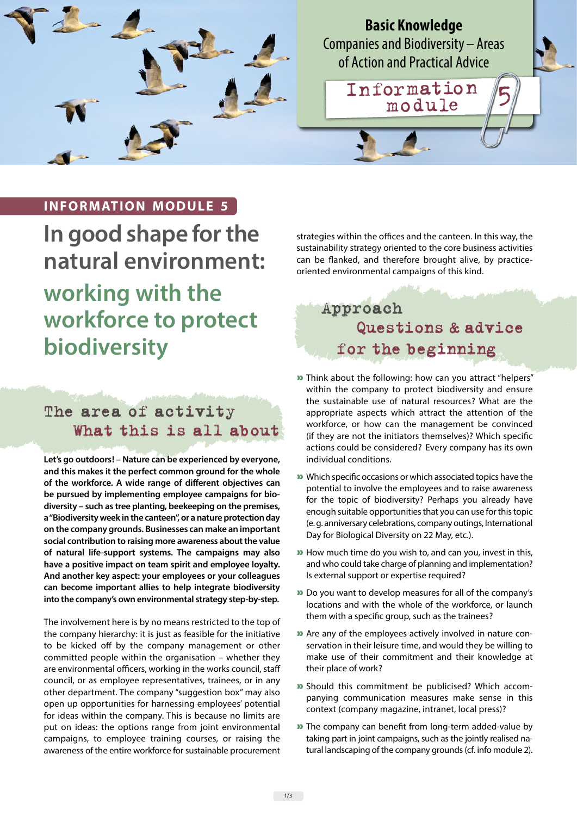

**Basic Knowledge** Companies and Biodiversity – Areas of Action and Practical Advice

Information 5

## **INFORMATION MODULE 5**

**In good shape for the natural environment: working with the workforce to protect biodiversity**

# The area of activity What this is all about

**Let's go outdoors! – Nature can be experienced by everyone, and this makes it the perfect common ground for the whole of the workforce. A wide range of different objectives can be pursued by implementing employee campaigns for biodiversity – such as tree planting, beekeeping on the premises, a "Biodiversity week in the canteen", or a nature protection day on the company grounds. Businesses can make an important social contribution to raising more awareness about the value of natural life-support systems. The campaigns may also have a positive impact on team spirit and employee loyalty. And another key aspect: your employees or your colleagues can become important allies to help integrate biodiversity into the company's own environmental strategy step-by-step.** 

The involvement here is by no means restricted to the top of the company hierarchy: it is just as feasible for the initiative to be kicked off by the company management or other committed people within the organisation – whether they are environmental officers, working in the works council, staff council, or as employee representatives, trainees, or in any other department. The company "suggestion box" may also open up opportunities for harnessing employees' potential for ideas within the company. This is because no limits are put on ideas: the options range from joint environmental campaigns, to employee training courses, or raising the awareness of the entire workforce for sustainable procurement strategies within the offices and the canteen. In this way, the sustainability strategy oriented to the core business activities can be flanked, and therefore brought alive, by practiceoriented environmental campaigns of this kind.

# Approach Questions & advice for the beginning

- » Think about the following: how can you attract "helpers" within the company to protect biodiversity and ensure the sustainable use of natural resources? What are the appropriate aspects which attract the attention of the workforce, or how can the management be convinced (if they are not the initiators themselves)? Which specific actions could be considered? Every company has its own individual conditions.
- » Which specific occasions or which associated topics have the potential to involve the employees and to raise awareness for the topic of biodiversity? Perhaps you already have enough suitable opportunities that you can use for this topic (e. g. anniversary celebrations, company outings, International Day for Biological Diversity on 22 May, etc.).
- » How much time do you wish to, and can you, invest in this, and who could take charge of planning and implementation? Is external support or expertise required?
- » Do you want to develop measures for all of the company's locations and with the whole of the workforce, or launch them with a specific group, such as the trainees?
- » Are any of the employees actively involved in nature conservation in their leisure time, and would they be willing to make use of their commitment and their knowledge at their place of work?
- » Should this commitment be publicised? Which accompanying communication measures make sense in this context (company magazine, intranet, local press)?
- » The company can benefit from long-term added-value by taking part in joint campaigns, such as the jointly realised natural landscaping of the company grounds (cf. info module 2).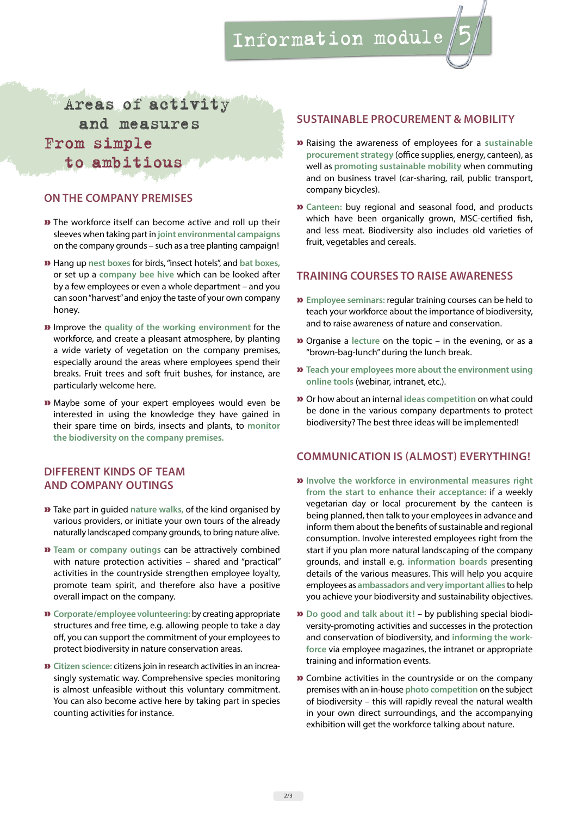# Information module 5

# Areas of activity and measures From simple to ambitious

### **ON THE COMPANY PREMISES**

- » The workforce itself can become active and roll up their sleeves when taking part in **joint environmental campaigns**  on the company grounds – such as a tree planting campaign!
- » Hang up **nest boxes** for birds, "insect hotels", and **bat boxes,**  or set up a **company bee hive** which can be looked after by a few employees or even a whole department – and you can soon "harvest" and enjoy the taste of your own company honey.
- » Improve the **quality of the working environment** for the workforce, and create a pleasant atmosphere, by planting a wide variety of vegetation on the company premises, especially around the areas where employees spend their breaks. Fruit trees and soft fruit bushes, for instance, are particularly welcome here.
- » Maybe some of your expert employees would even be interested in using the knowledge they have gained in their spare time on birds, insects and plants, to **monitor the biodiversity on the company premises.**

## **DIFFERENT KINDS OF TEAM AND COMPANY OUTINGS**

- » Take part in guided **nature walks,** of the kind organised by various providers, or initiate your own tours of the already naturally landscaped company grounds, to bring nature alive.
- » **Team or company outings** can be attractively combined with nature protection activities – shared and "practical" activities in the countryside strengthen employee loyalty, promote team spirit, and therefore also have a positive overall impact on the company.
- » **Corporate/employee volunteering:** by creating appropriate structures and free time, e.g. allowing people to take a day off, you can support the commitment of your employees to protect biodiversity in nature conservation areas.
- » **Citizen science:** citizens join in research activities in an increasingly systematic way. Comprehensive species monitoring is almost unfeasible without this voluntary commitment. You can also become active here by taking part in species counting activities for instance.

#### **SUSTAINABLE PROCUREMENT & MOBILITY**

- » Raising the awareness of employees for a **sustainable procurement strategy** (office supplies, energy, canteen), as well as **promoting sustainable mobility** when commuting and on business travel (car-sharing, rail, public transport, company bicycles).
- » **Canteen:** buy regional and seasonal food, and products which have been organically grown, MSC-certified fish, and less meat. Biodiversity also includes old varieties of fruit, vegetables and cereals.

#### **TRAINING COURSES TO RAISE AWARENESS**

- » **Employee seminars:** regular training courses can be held to teach your workforce about the importance of biodiversity, and to raise awareness of nature and conservation.
- » Organise a **lecture** on the topic in the evening, or as a "brown-bag-lunch" during the lunch break.
- » **Teach your employees more about the environment using online tools** (webinar, intranet, etc.).
- » Or how about an internal **ideas competition** on what could be done in the various company departments to protect biodiversity? The best three ideas will be implemented!

#### **COMMUNICATION IS (ALMOST) EVERYTHING!**

- » **Involve the workforce in environmental measures right from the start to enhance their acceptance:** if a weekly vegetarian day or local procurement by the canteen is being planned, then talk to your employees in advance and inform them about the benefits of sustainable and regional consumption. Involve interested employees right from the start if you plan more natural landscaping of the company grounds, and install e. g. **information boards** presenting details of the various measures. This will help you acquire employees as **ambassadors and very important allies** to help you achieve your biodiversity and sustainability objectives.
- » **Do good and talk about it!** by publishing special biodiversity-promoting activities and successes in the protection and conservation of biodiversity, and **informing the workforce** via employee magazines, the intranet or appropriate training and information events.
- » Combine activities in the countryside or on the company premises with an in-house **photo competition** on the subject of biodiversity – this will rapidly reveal the natural wealth in your own direct surroundings, and the accompanying exhibition will get the workforce talking about nature.